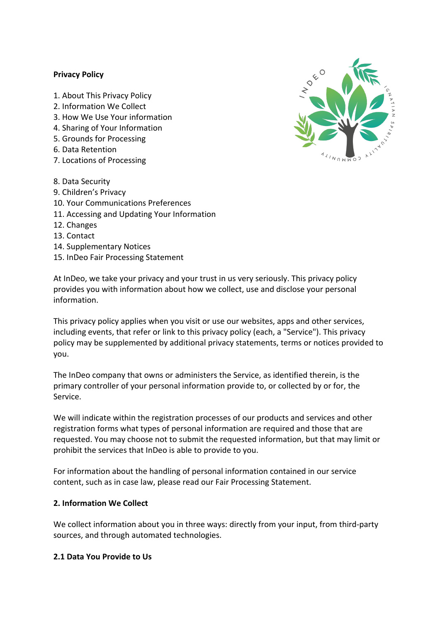#### **Privacy Policy**

- 1. About This Privacy Policy
- 2. Information We Collect
- 3. How We Use Your information
- 4. Sharing of Your Information
- 5. Grounds for Processing
- 6. Data Retention
- 7. Locations of Processing
- 8. Data Security
- 9. Children's Privacy
- 10. Your Communications Preferences
- 11. Accessing and Updating Your Information
- 12. Changes
- 13. Contact
- 14. Supplementary Notices
- 15. InDeo Fair Processing Statement

At InDeo, we take your privacy and your trust in us very seriously. This privacy policy provides you with information about how we collect, use and disclose your personal information.

This privacy policy applies when you visit or use our websites, apps and other services, including events, that refer or link to this privacy policy (each, a "Service"). This privacy policy may be supplemented by additional privacy statements, terms or notices provided to you.

The InDeo company that owns or administers the Service, as identified therein, is the primary controller of your personal information provide to, or collected by or for, the Service.

We will indicate within the registration processes of our products and services and other registration forms what types of personal information are required and those that are requested. You may choose not to submit the requested information, but that may limit or prohibit the services that InDeo is able to provide to you.

For information about the handling of personal information contained in our service content, such as in case law, please read our Fair Processing Statement.

#### **2. Information We Collect**

We collect information about you in three ways: directly from your input, from third-party sources, and through automated technologies.

#### **2.1 Data You Provide to Us**

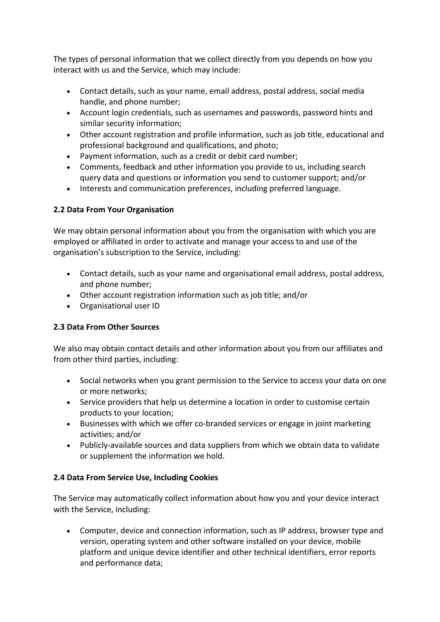The types of personal information that we collect directly from you depends on how you interact with us and the Service, which may include:

- Contact details, such as your name, email address, postal address, social media handle, and phone number;
- Account login credentials, such as usernames and passwords, password hints and similar security information;
- Other account registration and profile information, such as job title, educational and professional background and qualifications, and photo;
- Payment information, such as a credit or debit card number;
- Comments, feedback and other information you provide to us, including search query data and questions or information you send to customer support; and/or
- Interests and communication preferences, including preferred language.

# **2.2 Data From Your Organisation**

We may obtain personal information about you from the organisation with which you are employed or affiliated in order to activate and manage your access to and use of the organisation's subscription to the Service, including:

- Contact details, such as your name and organisational email address, postal address, and phone number;
- Other account registration information such as job title; and/or
- Organisational user ID

### **2.3 Data From Other Sources**

We also may obtain contact details and other information about you from our affiliates and from other third parties, including:

- Social networks when you grant permission to the Service to access your data on one or more networks;
- Service providers that help us determine a location in order to customise certain products to your location;
- Businesses with which we offer co-branded services or engage in joint marketing activities; and/or
- Publicly-available sources and data suppliers from which we obtain data to validate or supplement the information we hold.

### **2.4 Data From Service Use, Including Cookies**

The Service may automatically collect information about how you and your device interact with the Service, including:

• Computer, device and connection information, such as IP address, browser type and version, operating system and other software installed on your device, mobile platform and unique device identifier and other technical identifiers, error reports and performance data;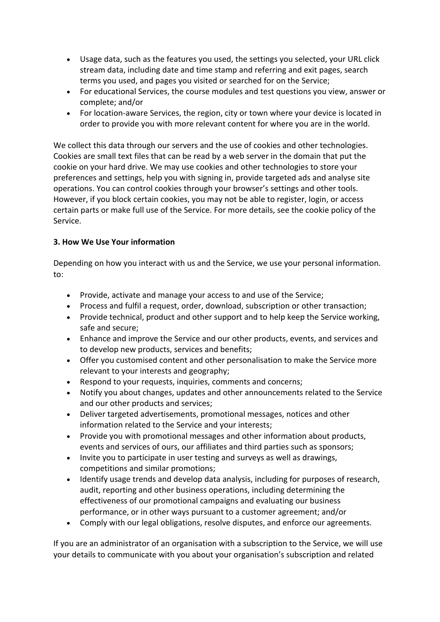- Usage data, such as the features you used, the settings you selected, your URL click stream data, including date and time stamp and referring and exit pages, search terms you used, and pages you visited or searched for on the Service;
- For educational Services, the course modules and test questions you view, answer or complete; and/or
- For location-aware Services, the region, city or town where your device is located in order to provide you with more relevant content for where you are in the world.

We collect this data through our servers and the use of cookies and other technologies. Cookies are small text files that can be read by a web server in the domain that put the cookie on your hard drive. We may use cookies and other technologies to store your preferences and settings, help you with signing in, provide targeted ads and analyse site operations. You can control cookies through your browser's settings and other tools. However, if you block certain cookies, you may not be able to register, login, or access certain parts or make full use of the Service. For more details, see the cookie policy of the Service.

### **3. How We Use Your information**

Depending on how you interact with us and the Service, we use your personal information. to:

- Provide, activate and manage your access to and use of the Service;
- Process and fulfil a request, order, download, subscription or other transaction;
- Provide technical, product and other support and to help keep the Service working, safe and secure;
- Enhance and improve the Service and our other products, events, and services and to develop new products, services and benefits;
- Offer you customised content and other personalisation to make the Service more relevant to your interests and geography;
- Respond to your requests, inquiries, comments and concerns;
- Notify you about changes, updates and other announcements related to the Service and our other products and services;
- Deliver targeted advertisements, promotional messages, notices and other information related to the Service and your interests;
- Provide you with promotional messages and other information about products, events and services of ours, our affiliates and third parties such as sponsors;
- Invite you to participate in user testing and surveys as well as drawings, competitions and similar promotions;
- Identify usage trends and develop data analysis, including for purposes of research, audit, reporting and other business operations, including determining the effectiveness of our promotional campaigns and evaluating our business performance, or in other ways pursuant to a customer agreement; and/or
- Comply with our legal obligations, resolve disputes, and enforce our agreements.

If you are an administrator of an organisation with a subscription to the Service, we will use your details to communicate with you about your organisation's subscription and related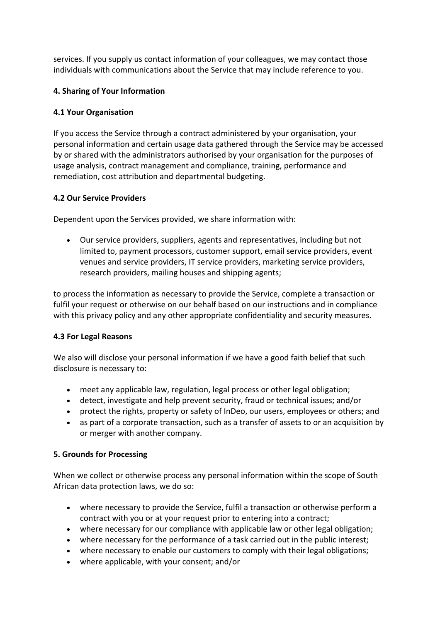services. If you supply us contact information of your colleagues, we may contact those individuals with communications about the Service that may include reference to you.

### **4. Sharing of Your Information**

## **4.1 Your Organisation**

If you access the Service through a contract administered by your organisation, your personal information and certain usage data gathered through the Service may be accessed by or shared with the administrators authorised by your organisation for the purposes of usage analysis, contract management and compliance, training, performance and remediation, cost attribution and departmental budgeting.

### **4.2 Our Service Providers**

Dependent upon the Services provided, we share information with:

• Our service providers, suppliers, agents and representatives, including but not limited to, payment processors, customer support, email service providers, event venues and service providers, IT service providers, marketing service providers, research providers, mailing houses and shipping agents;

to process the information as necessary to provide the Service, complete a transaction or fulfil your request or otherwise on our behalf based on our instructions and in compliance with this privacy policy and any other appropriate confidentiality and security measures.

### **4.3 For Legal Reasons**

We also will disclose your personal information if we have a good faith belief that such disclosure is necessary to:

- meet any applicable law, regulation, legal process or other legal obligation;
- detect, investigate and help prevent security, fraud or technical issues; and/or
- protect the rights, property or safety of InDeo, our users, employees or others; and
- as part of a corporate transaction, such as a transfer of assets to or an acquisition by or merger with another company.

### **5. Grounds for Processing**

When we collect or otherwise process any personal information within the scope of South African data protection laws, we do so:

- where necessary to provide the Service, fulfil a transaction or otherwise perform a contract with you or at your request prior to entering into a contract;
- where necessary for our compliance with applicable law or other legal obligation;
- where necessary for the performance of a task carried out in the public interest;
- where necessary to enable our customers to comply with their legal obligations;
- where applicable, with your consent; and/or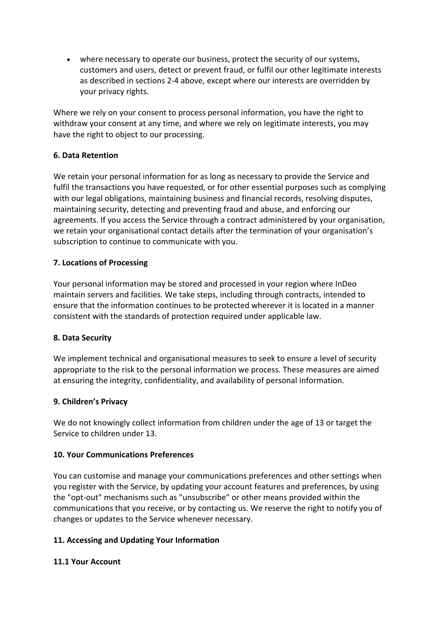• where necessary to operate our business, protect the security of our systems, customers and users, detect or prevent fraud, or fulfil our other legitimate interests as described in sections 2-4 above, except where our interests are overridden by your privacy rights.

Where we rely on your consent to process personal information, you have the right to withdraw your consent at any time, and where we rely on legitimate interests, you may have the right to object to our processing.

### **6. Data Retention**

We retain your personal information for as long as necessary to provide the Service and fulfil the transactions you have requested, or for other essential purposes such as complying with our legal obligations, maintaining business and financial records, resolving disputes, maintaining security, detecting and preventing fraud and abuse, and enforcing our agreements. If you access the Service through a contract administered by your organisation, we retain your organisational contact details after the termination of your organisation's subscription to continue to communicate with you.

# **7. Locations of Processing**

Your personal information may be stored and processed in your region where InDeo maintain servers and facilities. We take steps, including through contracts, intended to ensure that the information continues to be protected wherever it is located in a manner consistent with the standards of protection required under applicable law.

### **8. Data Security**

We implement technical and organisational measures to seek to ensure a level of security appropriate to the risk to the personal information we process. These measures are aimed at ensuring the integrity, confidentiality, and availability of personal information.

### **9. Children's Privacy**

We do not knowingly collect information from children under the age of 13 or target the Service to children under 13.

### **10. Your Communications Preferences**

You can customise and manage your communications preferences and other settings when you register with the Service, by updating your account features and preferences, by using the "opt-out" mechanisms such as "unsubscribe" or other means provided within the communications that you receive, or by contacting us. We reserve the right to notify you of changes or updates to the Service whenever necessary.

# **11. Accessing and Updating Your Information**

### **11.1 Your Account**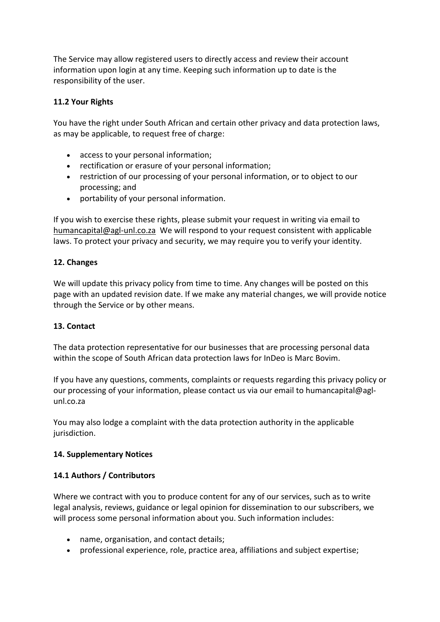The Service may allow registered users to directly access and review their account information upon login at any time. Keeping such information up to date is the responsibility of the user.

## **11.2 Your Rights**

You have the right under South African and certain other privacy and data protection laws, as may be applicable, to request free of charge:

- access to your personal information;
- rectification or erasure of your personal information;
- restriction of our processing of your personal information, or to object to our processing; and
- portability of your personal information.

If you wish to exercise these rights, please submit your request in writing via email to humancapital@agl-unl.co.za We will respond to your request consistent with applicable laws. To protect your privacy and security, we may require you to verify your identity.

### **12. Changes**

We will update this privacy policy from time to time. Any changes will be posted on this page with an updated revision date. If we make any material changes, we will provide notice through the Service or by other means.

### **13. Contact**

The data protection representative for our businesses that are processing personal data within the scope of South African data protection laws for InDeo is Marc Bovim.

If you have any questions, comments, complaints or requests regarding this privacy policy or our processing of your information, please contact us via our email to humancapital@aglunl.co.za

You may also lodge a complaint with the data protection authority in the applicable jurisdiction.

### **14. Supplementary Notices**

### **14.1 Authors / Contributors**

Where we contract with you to produce content for any of our services, such as to write legal analysis, reviews, guidance or legal opinion for dissemination to our subscribers, we will process some personal information about you. Such information includes:

- name, organisation, and contact details;
- professional experience, role, practice area, affiliations and subject expertise;